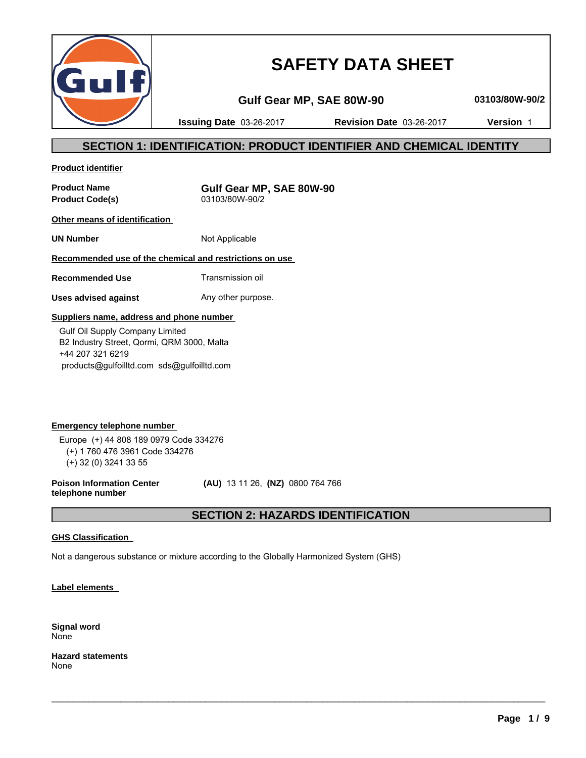

# **SAFETY DATA SHEET**

**Gulf Gear MP, SAE 80W-90 03103/80W-90/2**

**Issuing Date** 03-26-2017 **Revision Date** 03-26-2017 **Version** 1

### **SECTION 1: IDENTIFICATION: PRODUCT IDENTIFIER AND CHEMICAL IDENTITY**

**Product identifier**

**Product Code(s)** 

**Product Name**<br> **Product Code(s)**<br> **Product Code(s)**<br> **Gulf Gear MP, SAE 80W-90** 

**Other means of identification** 

**UN Number** Not Applicable

### **Recommended use of the chemical and restrictions on use**

**Recommended Use** Transmission oil

**Uses advised against** Any other purpose.

### **Suppliers name, address and phone number**

 Gulf Oil Supply Company Limited B2 Industry Street, Qormi, QRM 3000, Malta +44 207 321 6219 products@gulfoilltd.com sds@gulfoilltd.com

**Emergency telephone number**  Europe (+) 44 808 189 0979 Code 334276 (+) 1 760 476 3961 Code 334276 (+) 32 (0) 3241 33 55

**Poison Information Center telephone number**

 **(AU)** 13 11 26, **(NZ)** 0800 764 766

### **SECTION 2: HAZARDS IDENTIFICATION**

 $\_$  ,  $\_$  ,  $\_$  ,  $\_$  ,  $\_$  ,  $\_$  ,  $\_$  ,  $\_$  ,  $\_$  ,  $\_$  ,  $\_$  ,  $\_$  ,  $\_$  ,  $\_$  ,  $\_$  ,  $\_$  ,  $\_$  ,  $\_$  ,  $\_$  ,  $\_$  ,  $\_$  ,  $\_$  ,  $\_$  ,  $\_$  ,  $\_$  ,  $\_$  ,  $\_$  ,  $\_$  ,  $\_$  ,  $\_$  ,  $\_$  ,  $\_$  ,  $\_$  ,  $\_$  ,  $\_$  ,  $\_$  ,  $\_$  ,

### **GHS Classification**

Not a dangerous substance or mixture according to the Globally Harmonized System (GHS)

**Label elements** 

**Signal word** None

**Hazard statements** None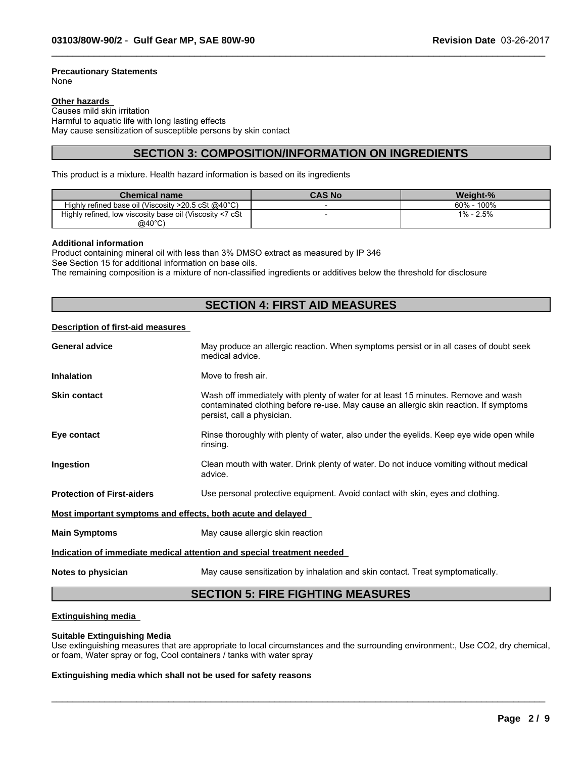#### **Precautionary Statements** None

#### **Other hazards**

Causes mild skin irritation Harmful to aquatic life with long lasting effects May cause sensitization of susceptible persons by skin contact

### **SECTION 3: COMPOSITION/INFORMATION ON INGREDIENTS**

 $\_$  ,  $\_$  ,  $\_$  ,  $\_$  ,  $\_$  ,  $\_$  ,  $\_$  ,  $\_$  ,  $\_$  ,  $\_$  ,  $\_$  ,  $\_$  ,  $\_$  ,  $\_$  ,  $\_$  ,  $\_$  ,  $\_$  ,  $\_$  ,  $\_$  ,  $\_$  ,  $\_$  ,  $\_$  ,  $\_$  ,  $\_$  ,  $\_$  ,  $\_$  ,  $\_$  ,  $\_$  ,  $\_$  ,  $\_$  ,  $\_$  ,  $\_$  ,  $\_$  ,  $\_$  ,  $\_$  ,  $\_$  ,  $\_$  ,

This product is a mixture. Health hazard information is based on its ingredients

| <b>Chemical name</b>                                             | <b>CAS No</b> | Weight-%         |
|------------------------------------------------------------------|---------------|------------------|
| Highly refined base oil (Viscosity $>20.5$ cSt @40 $^{\circ}$ C) |               | 100%<br>$60\%$ - |
| Highly refined, low viscosity base oil (Viscosity <7 cSt         |               | $1\% - 2.5\%$    |
| $@40^{\circ}$ C)                                                 |               |                  |

#### **Additional information**

Product containing mineral oil with less than 3% DMSO extract as measured by IP 346 See Section 15 for additional information on base oils. The remaining composition is a mixture of non-classified ingredients or additives below the threshold for disclosure

### **SECTION 4: FIRST AID MEASURES**

#### **Description of first-aid measures**

| <b>General advice</b>                                       | May produce an allergic reaction. When symptoms persist or in all cases of doubt seek<br>medical advice.                                                                                                  |
|-------------------------------------------------------------|-----------------------------------------------------------------------------------------------------------------------------------------------------------------------------------------------------------|
| <b>Inhalation</b>                                           | Move to fresh air.                                                                                                                                                                                        |
| <b>Skin contact</b>                                         | Wash off immediately with plenty of water for at least 15 minutes. Remove and wash<br>contaminated clothing before re-use. May cause an allergic skin reaction. If symptoms<br>persist, call a physician. |
| Eye contact                                                 | Rinse thoroughly with plenty of water, also under the eyelids. Keep eye wide open while<br>rinsing.                                                                                                       |
| Ingestion                                                   | Clean mouth with water. Drink plenty of water. Do not induce vomiting without medical<br>advice.                                                                                                          |
| <b>Protection of First-aiders</b>                           | Use personal protective equipment. Avoid contact with skin, eyes and clothing.                                                                                                                            |
| Most important symptoms and effects, both acute and delayed |                                                                                                                                                                                                           |
| <b>Main Symptoms</b>                                        | May cause allergic skin reaction                                                                                                                                                                          |
|                                                             | Indication of immediate medical attention and special treatment needed                                                                                                                                    |
| Notes to physician                                          | May cause sensitization by inhalation and skin contact. Treat symptomatically.                                                                                                                            |

### **SECTION 5: FIRE FIGHTING MEASURES**

#### **Extinguishing media**

#### **Suitable Extinguishing Media**

Use extinguishing measures that are appropriate to local circumstances and the surrounding environment:, Use CO2, dry chemical, or foam, Water spray or fog, Cool containers / tanks with water spray

 $\_$  ,  $\_$  ,  $\_$  ,  $\_$  ,  $\_$  ,  $\_$  ,  $\_$  ,  $\_$  ,  $\_$  ,  $\_$  ,  $\_$  ,  $\_$  ,  $\_$  ,  $\_$  ,  $\_$  ,  $\_$  ,  $\_$  ,  $\_$  ,  $\_$  ,  $\_$  ,  $\_$  ,  $\_$  ,  $\_$  ,  $\_$  ,  $\_$  ,  $\_$  ,  $\_$  ,  $\_$  ,  $\_$  ,  $\_$  ,  $\_$  ,  $\_$  ,  $\_$  ,  $\_$  ,  $\_$  ,  $\_$  ,  $\_$  ,

#### **Extinguishing media which shall not be used for safety reasons**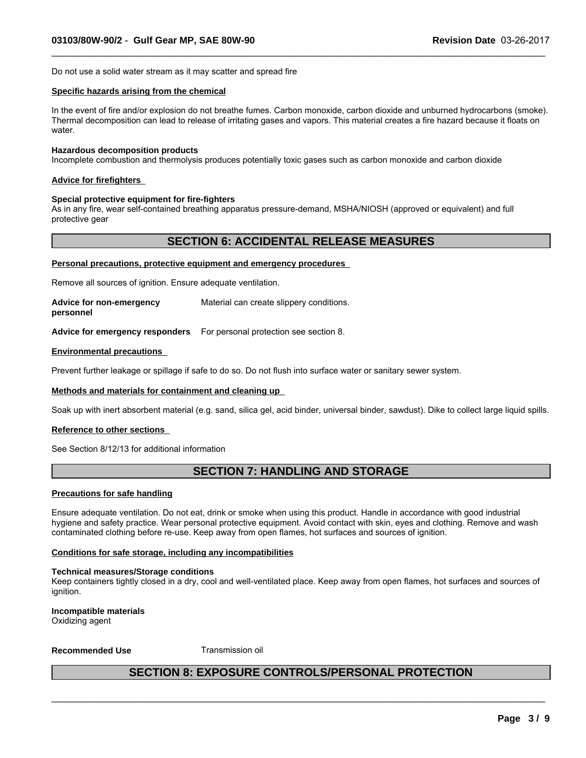Do not use a solid water stream as it may scatter and spread fire

#### **Specific hazards arising from the chemical**

In the event of fire and/or explosion do not breathe fumes. Carbon monoxide, carbon dioxide and unburned hydrocarbons (smoke). Thermal decomposition can lead to release of irritating gases and vapors. This material creates a fire hazard because it floats on water.

 $\_$  ,  $\_$  ,  $\_$  ,  $\_$  ,  $\_$  ,  $\_$  ,  $\_$  ,  $\_$  ,  $\_$  ,  $\_$  ,  $\_$  ,  $\_$  ,  $\_$  ,  $\_$  ,  $\_$  ,  $\_$  ,  $\_$  ,  $\_$  ,  $\_$  ,  $\_$  ,  $\_$  ,  $\_$  ,  $\_$  ,  $\_$  ,  $\_$  ,  $\_$  ,  $\_$  ,  $\_$  ,  $\_$  ,  $\_$  ,  $\_$  ,  $\_$  ,  $\_$  ,  $\_$  ,  $\_$  ,  $\_$  ,  $\_$  ,

#### **Hazardous decomposition products**

Incomplete combustion and thermolysis produces potentially toxic gases such as carbon monoxide and carbon dioxide

#### **Advice for firefighters**

#### **Special protective equipment for fire-fighters**

As in any fire, wear self-contained breathing apparatus pressure-demand, MSHA/NIOSH (approved or equivalent) and full protective gear

### **SECTION 6: ACCIDENTAL RELEASE MEASURES**

#### **Personal precautions, protective equipment and emergency procedures**

Remove all sources of ignition. Ensure adequate ventilation.

**Advice for non-emergency personnel** Material can create slippery conditions.

**Advice for emergency responders** For personal protection see section 8.

#### **Environmental precautions**

Prevent further leakage or spillage if safe to do so. Do not flush into surface water or sanitary sewer system.

#### **Methods and materials for containment and cleaning up**

Soak up with inert absorbent material (e.g. sand, silica gel, acid binder, universal binder, sawdust). Dike to collect large liquid spills.

#### **Reference to other sections**

See Section 8/12/13 for additional information

### **SECTION 7: HANDLING AND STORAGE**

#### **Precautions for safe handling**

Ensure adequate ventilation. Do not eat, drink or smoke when using this product. Handle in accordance with good industrial hygiene and safety practice. Wear personal protective equipment. Avoid contact with skin, eyes and clothing. Remove and wash contaminated clothing before re-use. Keep away from open flames, hot surfaces and sources of ignition.

#### **Conditions for safe storage, including any incompatibilities**

#### **Technical measures/Storage conditions**

Keep containers tightly closed in a dry, cool and well-ventilated place. Keep away from open flames, hot surfaces and sources of ignition.

**Incompatible materials** Oxidizing agent

**Recommended Use Transmission oil** 

### **SECTION 8: EXPOSURE CONTROLS/PERSONAL PROTECTION**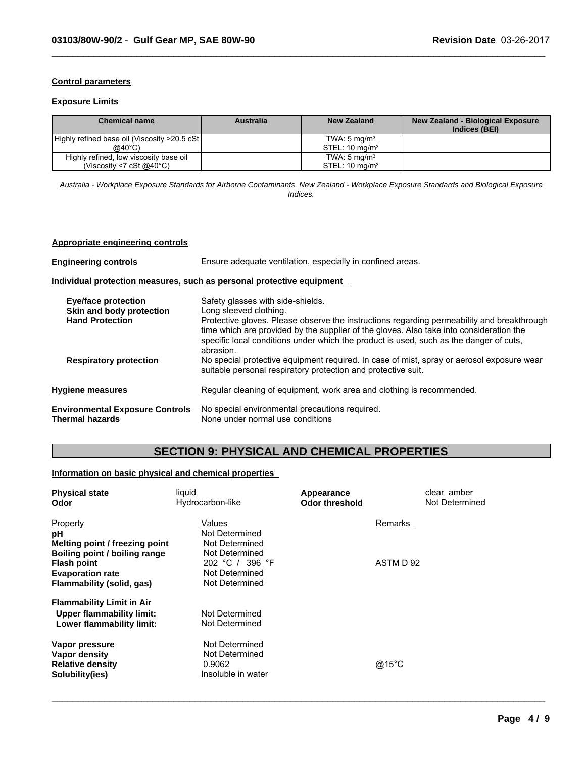#### **Control parameters**

#### **Exposure Limits**

| <b>Chemical name</b>                          | <b>Australia</b> | New Zealand                  | <b>New Zealand - Biological Exposure</b><br>Indices (BEI) |
|-----------------------------------------------|------------------|------------------------------|-----------------------------------------------------------|
| Highly refined base oil (Viscosity >20.5 cSt) |                  | TWA: $5 \text{ mg/m}^3$      |                                                           |
| @40°C)                                        |                  | $STEL: 10$ ma/m <sup>3</sup> |                                                           |
| Highly refined, low viscosity base oil        |                  | TWA: $5 \text{ mg/m}^3$      |                                                           |
| (Viscosity <7 cSt @40 $^{\circ}$ C)           |                  | $STEL: 10$ mg/m <sup>3</sup> |                                                           |

 $\_$  ,  $\_$  ,  $\_$  ,  $\_$  ,  $\_$  ,  $\_$  ,  $\_$  ,  $\_$  ,  $\_$  ,  $\_$  ,  $\_$  ,  $\_$  ,  $\_$  ,  $\_$  ,  $\_$  ,  $\_$  ,  $\_$  ,  $\_$  ,  $\_$  ,  $\_$  ,  $\_$  ,  $\_$  ,  $\_$  ,  $\_$  ,  $\_$  ,  $\_$  ,  $\_$  ,  $\_$  ,  $\_$  ,  $\_$  ,  $\_$  ,  $\_$  ,  $\_$  ,  $\_$  ,  $\_$  ,  $\_$  ,  $\_$  ,

*Australia - Workplace Exposure Standards for Airborne Contaminants. New Zealand - Workplace Exposure Standards and Biological Exposure Indices.*

#### **Appropriate engineering controls**

| Ensure adequate ventilation, especially in confined areas.<br><b>Engineering controls</b> |  |
|-------------------------------------------------------------------------------------------|--|
|-------------------------------------------------------------------------------------------|--|

#### **Individual protection measures, such as personal protective equipment**

| Eye/face protection<br>Skin and body protection<br><b>Hand Protection</b> | Safety glasses with side-shields.<br>Long sleeved clothing.<br>Protective gloves. Please observe the instructions regarding permeability and breakthrough                                      |
|---------------------------------------------------------------------------|------------------------------------------------------------------------------------------------------------------------------------------------------------------------------------------------|
|                                                                           | time which are provided by the supplier of the gloves. Also take into consideration the<br>specific local conditions under which the product is used, such as the danger of cuts,<br>abrasion. |
| <b>Respiratory protection</b>                                             | No special protective equipment required. In case of mist, spray or aerosol exposure wear<br>suitable personal respiratory protection and protective suit.                                     |
| <b>Hygiene measures</b>                                                   | Regular cleaning of equipment, work area and clothing is recommended.                                                                                                                          |
| <b>Environmental Exposure Controls</b><br>Thermal hazards                 | No special environmental precautions required.<br>None under normal use conditions                                                                                                             |

## **SECTION 9: PHYSICAL AND CHEMICAL PROPERTIES**

#### **Information on basic physical and chemical properties**

| <b>Physical state</b>            | liquid             | Appearance     | clear amber    |
|----------------------------------|--------------------|----------------|----------------|
| Odor                             | Hydrocarbon-like   | Odor threshold | Not Determined |
| <b>Property</b>                  | Values             |                | Remarks        |
| pH                               | Not Determined     |                |                |
| Melting point / freezing point   | Not Determined     |                |                |
| Boiling point / boiling range    | Not Determined     |                |                |
| <b>Flash point</b>               | 202 °C / 396 °F    |                | ASTM D 92      |
| <b>Evaporation rate</b>          | Not Determined     |                |                |
| Flammability (solid, gas)        | Not Determined     |                |                |
| <b>Flammability Limit in Air</b> |                    |                |                |
| <b>Upper flammability limit:</b> | Not Determined     |                |                |
| Lower flammability limit:        | Not Determined     |                |                |
| Vapor pressure                   | Not Determined     |                |                |
| Vapor density                    | Not Determined     |                |                |
| <b>Relative density</b>          | 0.9062             |                | @15°C          |
| Solubility(ies)                  | Insoluble in water |                |                |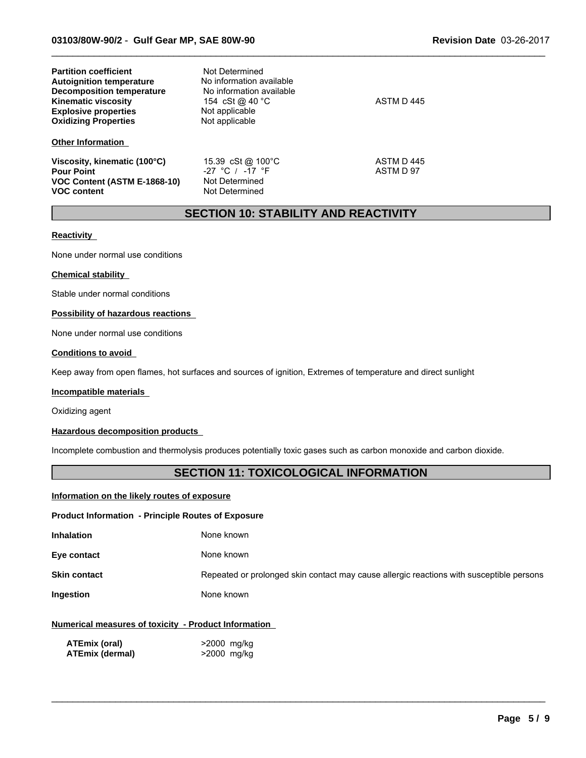| <b>Partition coefficient</b><br><b>Autoignition temperature</b><br><b>Decomposition temperature</b><br><b>Kinematic viscosity</b><br><b>Explosive properties</b><br><b>Oxidizing Properties</b> | Not Determined<br>No information available<br>No information available<br>154 cSt @ 40 °C<br>Not applicable<br>Not applicable | ASTM D445               |
|-------------------------------------------------------------------------------------------------------------------------------------------------------------------------------------------------|-------------------------------------------------------------------------------------------------------------------------------|-------------------------|
| <b>Other Information</b>                                                                                                                                                                        |                                                                                                                               |                         |
| Viscosity, kinematic (100°C)<br><b>Pour Point</b><br>VOC Content (ASTM E-1868-10)<br><b>VOC content</b>                                                                                         | 15.39 cSt @ 100°C<br>$-27$ °C / $-17$ °F<br>Not Determined<br>Not Determined                                                  | ASTM D 445<br>ASTM D 97 |

### **SECTION 10: STABILITY AND REACTIVITY**

 $\_$  ,  $\_$  ,  $\_$  ,  $\_$  ,  $\_$  ,  $\_$  ,  $\_$  ,  $\_$  ,  $\_$  ,  $\_$  ,  $\_$  ,  $\_$  ,  $\_$  ,  $\_$  ,  $\_$  ,  $\_$  ,  $\_$  ,  $\_$  ,  $\_$  ,  $\_$  ,  $\_$  ,  $\_$  ,  $\_$  ,  $\_$  ,  $\_$  ,  $\_$  ,  $\_$  ,  $\_$  ,  $\_$  ,  $\_$  ,  $\_$  ,  $\_$  ,  $\_$  ,  $\_$  ,  $\_$  ,  $\_$  ,  $\_$  ,

#### **Reactivity**

None under normal use conditions

#### **Chemical stability**

Stable under normal conditions

#### **Possibility of hazardous reactions**

None under normal use conditions

#### **Conditions to avoid**

Keep away from open flames, hot surfaces and sources of ignition, Extremes of temperature and direct sunlight

#### **Incompatible materials**

Oxidizing agent

#### **Hazardous decomposition products**

Incomplete combustion and thermolysis produces potentially toxic gases such as carbon monoxide and carbon dioxide.

### **SECTION 11: TOXICOLOGICAL INFORMATION**

#### **Information on the likely routes of exposure**

#### **Product Information - Principle Routes of Exposure**

| <b>Inhalation</b>   | None known                                                                               |
|---------------------|------------------------------------------------------------------------------------------|
| Eye contact         | None known                                                                               |
| <b>Skin contact</b> | Repeated or prolonged skin contact may cause allergic reactions with susceptible persons |
| Ingestion           | None known                                                                               |

 $\_$  ,  $\_$  ,  $\_$  ,  $\_$  ,  $\_$  ,  $\_$  ,  $\_$  ,  $\_$  ,  $\_$  ,  $\_$  ,  $\_$  ,  $\_$  ,  $\_$  ,  $\_$  ,  $\_$  ,  $\_$  ,  $\_$  ,  $\_$  ,  $\_$  ,  $\_$  ,  $\_$  ,  $\_$  ,  $\_$  ,  $\_$  ,  $\_$  ,  $\_$  ,  $\_$  ,  $\_$  ,  $\_$  ,  $\_$  ,  $\_$  ,  $\_$  ,  $\_$  ,  $\_$  ,  $\_$  ,  $\_$  ,  $\_$  ,

#### **Numerical measures of toxicity - Product Information**

| <b>ATEmix (oral)</b>   | >2000 mg/kg |
|------------------------|-------------|
| <b>ATEmix (dermal)</b> | >2000 mg/kg |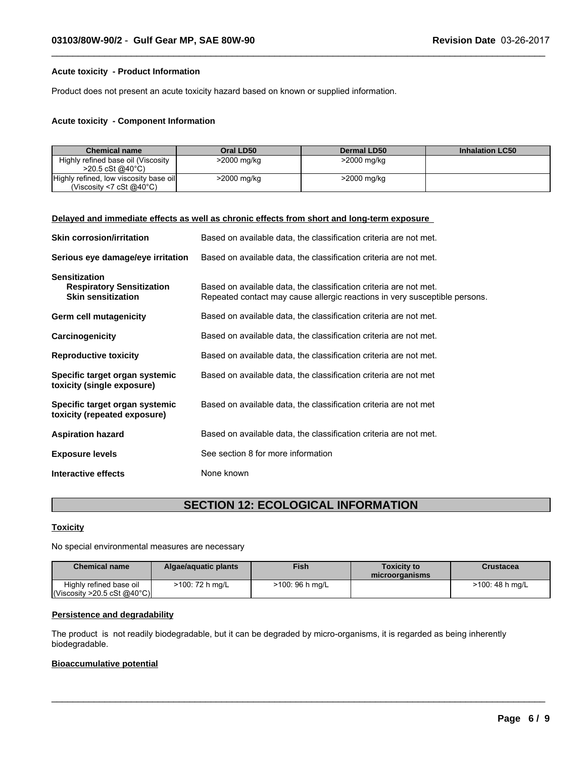#### **Acute toxicity - Product Information**

Product does not present an acute toxicity hazard based on known or supplied information.

#### **Acute toxicity - Component Information**

| <b>Chemical name</b>                                                                     | Oral LD50   | Dermal LD50 | <b>Inhalation LC50</b> |
|------------------------------------------------------------------------------------------|-------------|-------------|------------------------|
| Highly refined base oil (Viscosity<br>$>20.5 \text{ cSt} \text{ @ } 40^{\circ} \text{C}$ | >2000 mg/kg | >2000 mg/kg |                        |
| Highly refined, low viscosity base oil<br>(Viscosity <7 cSt @40°C)                       | >2000 mg/kg | >2000 mg/kg |                        |

 $\_$  ,  $\_$  ,  $\_$  ,  $\_$  ,  $\_$  ,  $\_$  ,  $\_$  ,  $\_$  ,  $\_$  ,  $\_$  ,  $\_$  ,  $\_$  ,  $\_$  ,  $\_$  ,  $\_$  ,  $\_$  ,  $\_$  ,  $\_$  ,  $\_$  ,  $\_$  ,  $\_$  ,  $\_$  ,  $\_$  ,  $\_$  ,  $\_$  ,  $\_$  ,  $\_$  ,  $\_$  ,  $\_$  ,  $\_$  ,  $\_$  ,  $\_$  ,  $\_$  ,  $\_$  ,  $\_$  ,  $\_$  ,  $\_$  ,

#### **Delayed and immediate effects as well as chronic effects from short and long-term exposure**

| <b>Skin corrosion/irritation</b>                                                      | Based on available data, the classification criteria are not met.                                                                               |
|---------------------------------------------------------------------------------------|-------------------------------------------------------------------------------------------------------------------------------------------------|
| Serious eye damage/eye irritation                                                     | Based on available data, the classification criteria are not met.                                                                               |
| <b>Sensitization</b><br><b>Respiratory Sensitization</b><br><b>Skin sensitization</b> | Based on available data, the classification criteria are not met.<br>Repeated contact may cause allergic reactions in very susceptible persons. |
| Germ cell mutagenicity                                                                | Based on available data, the classification criteria are not met.                                                                               |
| Carcinogenicity                                                                       | Based on available data, the classification criteria are not met.                                                                               |
| <b>Reproductive toxicity</b>                                                          | Based on available data, the classification criteria are not met.                                                                               |
| Specific target organ systemic<br>toxicity (single exposure)                          | Based on available data, the classification criteria are not met                                                                                |
| Specific target organ systemic<br>toxicity (repeated exposure)                        | Based on available data, the classification criteria are not met                                                                                |
| <b>Aspiration hazard</b>                                                              | Based on available data, the classification criteria are not met.                                                                               |
| <b>Exposure levels</b>                                                                | See section 8 for more information                                                                                                              |
| Interactive effects                                                                   | None known                                                                                                                                      |

### **SECTION 12: ECOLOGICAL INFORMATION**

#### **Toxicity**

No special environmental measures are necessary

| <b>Chemical name</b>                        | Algae/aguatic plants | <b>Fish</b>     | <b>Toxicity to</b><br>microorganisms | Crustacea       |
|---------------------------------------------|----------------------|-----------------|--------------------------------------|-----------------|
| Highly refined base oil                     | >100: 72 h mg/L      | >100: 96 h mg/L |                                      | >100: 48 h mg/L |
| $\vert$ (Viscosity >20.5 cSt @40°C) $\vert$ |                      |                 |                                      |                 |

 $\_$  ,  $\_$  ,  $\_$  ,  $\_$  ,  $\_$  ,  $\_$  ,  $\_$  ,  $\_$  ,  $\_$  ,  $\_$  ,  $\_$  ,  $\_$  ,  $\_$  ,  $\_$  ,  $\_$  ,  $\_$  ,  $\_$  ,  $\_$  ,  $\_$  ,  $\_$  ,  $\_$  ,  $\_$  ,  $\_$  ,  $\_$  ,  $\_$  ,  $\_$  ,  $\_$  ,  $\_$  ,  $\_$  ,  $\_$  ,  $\_$  ,  $\_$  ,  $\_$  ,  $\_$  ,  $\_$  ,  $\_$  ,  $\_$  ,

### **Persistence and degradability**

The product is not readily biodegradable, but it can be degraded by micro-organisms, it is regarded as being inherently biodegradable.

#### **Bioaccumulative potential**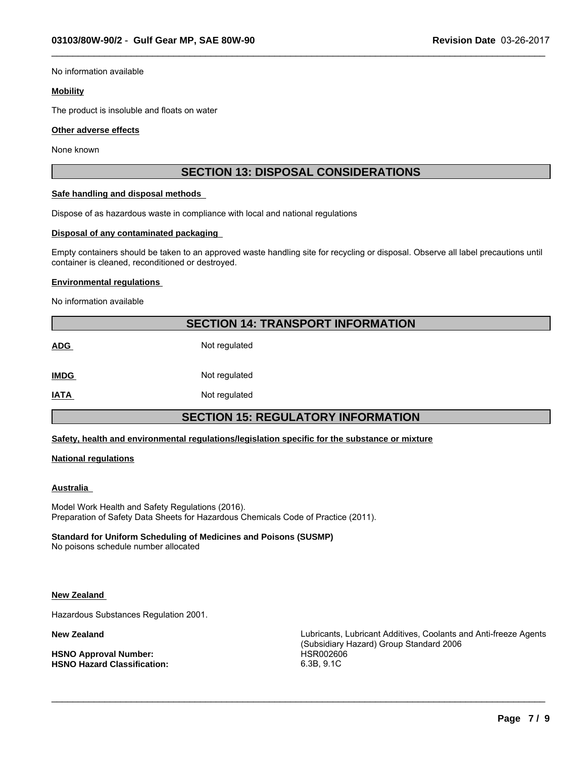No information available

#### **Mobility**

The product is insoluble and floats on water

#### **Other adverse effects**

None known

### **SECTION 13: DISPOSAL CONSIDERATIONS**

 $\_$  ,  $\_$  ,  $\_$  ,  $\_$  ,  $\_$  ,  $\_$  ,  $\_$  ,  $\_$  ,  $\_$  ,  $\_$  ,  $\_$  ,  $\_$  ,  $\_$  ,  $\_$  ,  $\_$  ,  $\_$  ,  $\_$  ,  $\_$  ,  $\_$  ,  $\_$  ,  $\_$  ,  $\_$  ,  $\_$  ,  $\_$  ,  $\_$  ,  $\_$  ,  $\_$  ,  $\_$  ,  $\_$  ,  $\_$  ,  $\_$  ,  $\_$  ,  $\_$  ,  $\_$  ,  $\_$  ,  $\_$  ,  $\_$  ,

#### **Safe handling and disposal methods**

Dispose of as hazardous waste in compliance with local and national regulations

#### **Disposal of any contaminated packaging**

Empty containers should be taken to an approved waste handling site for recycling or disposal. Observe all label precautions until container is cleaned, reconditioned or destroyed.

#### **Environmental regulations**

No information available

### **SECTION 14: TRANSPORT INFORMATION**

**ADG** Not regulated

**IMDG** Not regulated

**IATA** Not regulated

### **SECTION 15: REGULATORY INFORMATION**

**Safety, health and environmental regulations/legislation specific for the substance or mixture**

#### **National regulations**

#### **Australia**

Model Work Health and Safety Regulations (2016). Preparation of Safety Data Sheets for Hazardous Chemicals Code of Practice (2011).

#### **Standard for Uniform Scheduling of Medicines and Poisons (SUSMP)**

No poisons schedule number allocated

#### **New Zealand**

Hazardous Substances Regulation 2001.

**HSNO Approval Number:** HSR002606 **HSNO Hazard Classification:** 6.3B, 9.1C

**New Zealand** Lubricants, Lubricant Additives, Coolants and Anti-freeze Agents (Subsidiary Hazard) Group Standard 2006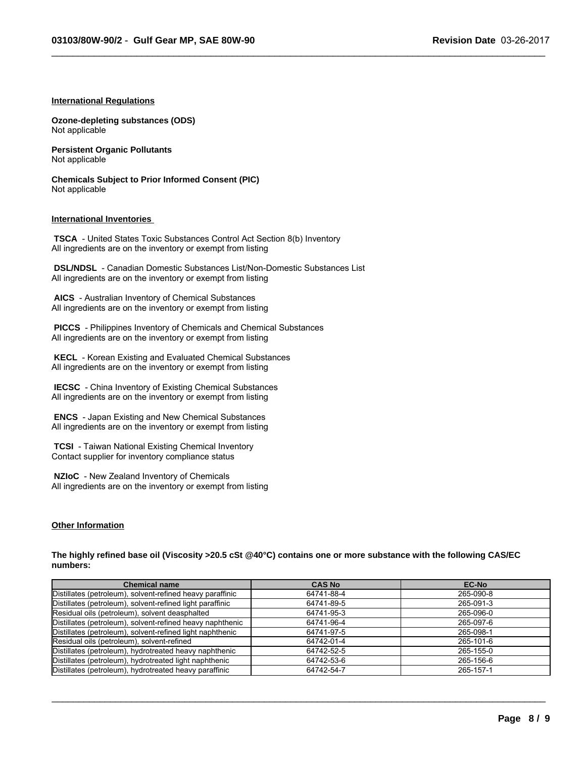$\_$  ,  $\_$  ,  $\_$  ,  $\_$  ,  $\_$  ,  $\_$  ,  $\_$  ,  $\_$  ,  $\_$  ,  $\_$  ,  $\_$  ,  $\_$  ,  $\_$  ,  $\_$  ,  $\_$  ,  $\_$  ,  $\_$  ,  $\_$  ,  $\_$  ,  $\_$  ,  $\_$  ,  $\_$  ,  $\_$  ,  $\_$  ,  $\_$  ,  $\_$  ,  $\_$  ,  $\_$  ,  $\_$  ,  $\_$  ,  $\_$  ,  $\_$  ,  $\_$  ,  $\_$  ,  $\_$  ,  $\_$  ,  $\_$  ,

#### **International Regulations**

**Ozone-depleting substances (ODS)** Not applicable

**Persistent Organic Pollutants** Not applicable

**Chemicals Subject to Prior Informed Consent (PIC)** Not applicable

#### **International Inventories**

 **TSCA** - United States Toxic Substances Control Act Section 8(b) Inventory All ingredients are on the inventory or exempt from listing

 **DSL/NDSL** - Canadian Domestic Substances List/Non-Domestic Substances List All ingredients are on the inventory or exempt from listing

 **AICS** - Australian Inventory of Chemical Substances All ingredients are on the inventory or exempt from listing

 **PICCS** - Philippines Inventory of Chemicals and Chemical Substances All ingredients are on the inventory or exempt from listing

 **KECL** - Korean Existing and Evaluated Chemical Substances All ingredients are on the inventory or exempt from listing

 **IECSC** - China Inventory of Existing Chemical Substances All ingredients are on the inventory or exempt from listing

 **ENCS** - Japan Existing and New Chemical Substances All ingredients are on the inventory or exempt from listing

 **TCSI** - Taiwan National Existing Chemical Inventory Contact supplier for inventory compliance status

 **NZIoC** - New Zealand Inventory of Chemicals All ingredients are on the inventory or exempt from listing

#### **Other Information**

**The highly refined base oil (Viscosity >20.5 cSt @40°C) contains one or more substance with the following CAS/EC numbers:**

| <b>Chemical name</b>                                      | <b>CAS No</b> | <b>EC-No</b> |
|-----------------------------------------------------------|---------------|--------------|
| Distillates (petroleum), solvent-refined heavy paraffinic | 64741-88-4    | 265-090-8    |
| Distillates (petroleum), solvent-refined light paraffinic | 64741-89-5    | 265-091-3    |
| Residual oils (petroleum), solvent deasphalted            | 64741-95-3    | 265-096-0    |
| Distillates (petroleum), solvent-refined heavy naphthenic | 64741-96-4    | 265-097-6    |
| Distillates (petroleum), solvent-refined light naphthenic | 64741-97-5    | 265-098-1    |
| Residual oils (petroleum), solvent-refined                | 64742-01-4    | 265-101-6    |
| Distillates (petroleum), hydrotreated heavy naphthenic    | 64742-52-5    | 265-155-0    |
| Distillates (petroleum), hydrotreated light naphthenic    | 64742-53-6    | 265-156-6    |
| Distillates (petroleum), hydrotreated heavy paraffinic    | 64742-54-7    | 265-157-1    |